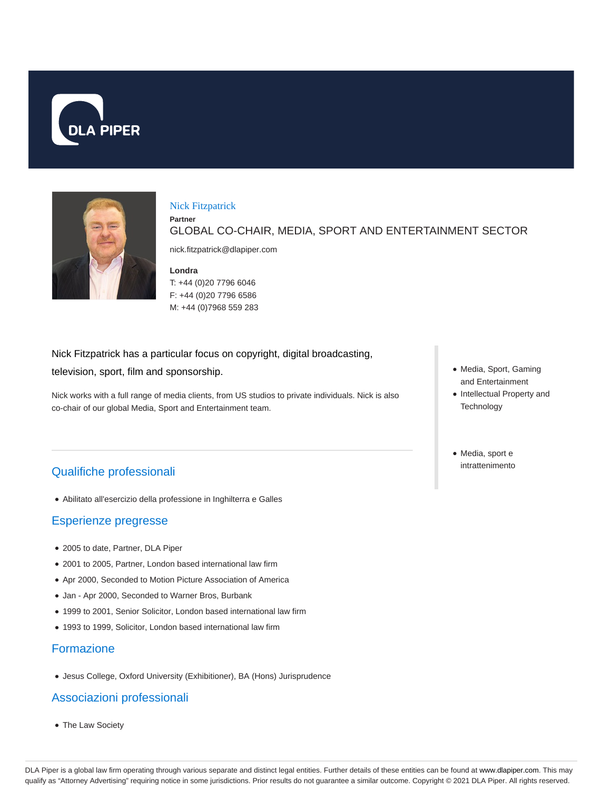



#### Nick Fitzpatrick

GLOBAL CO-CHAIR, MEDIA, SPORT AND ENTERTAINMENT SECTOR

nick.fitzpatrick@dlapiper.com

### **Londra**

**Partner**

T: +44 (0)20 7796 6046 F: +44 (0)20 7796 6586 M: +44 (0)7968 559 283

Nick Fitzpatrick has a particular focus on copyright, digital broadcasting,

television, sport, film and sponsorship.

Nick works with a full range of media clients, from US studios to private individuals. Nick is also co-chair of our global Media, Sport and Entertainment team.

# Qualifiche professionali

Abilitato all'esercizio della professione in Inghilterra e Galles

# Esperienze pregresse

- 2005 to date, Partner, DLA Piper
- 2001 to 2005, Partner, London based international law firm
- Apr 2000, Seconded to Motion Picture Association of America
- Jan Apr 2000, Seconded to Warner Bros, Burbank
- 1999 to 2001, Senior Solicitor, London based international law firm
- 1993 to 1999, Solicitor, London based international law firm

# Formazione

Jesus College, Oxford University (Exhibitioner), BA (Hons) Jurisprudence

# Associazioni professionali

The Law Society

- Media, Sport, Gaming and Entertainment
- Intellectual Property and **Technology**
- Media, sport e intrattenimento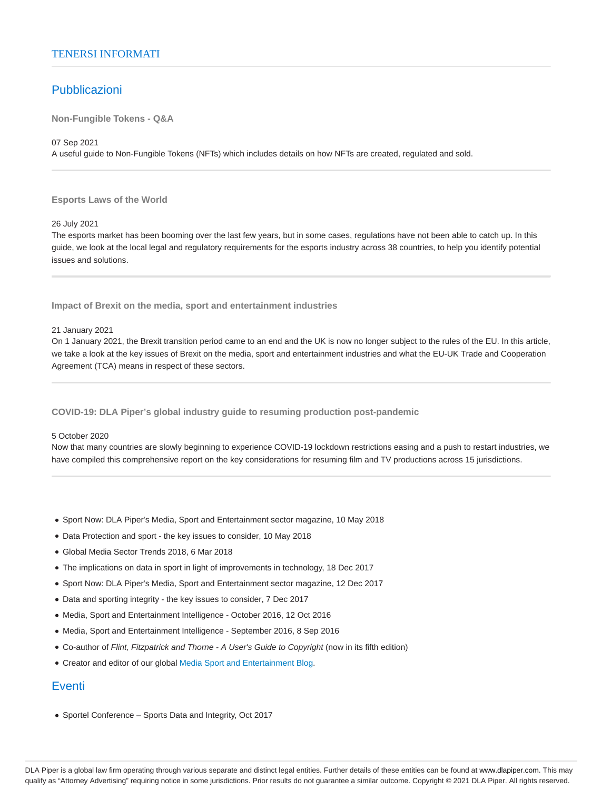### TENERSI INFORMATI

### Pubblicazioni

**Non-Fungible Tokens - Q&A**

07 Sep 2021

A useful guide to Non-Fungible Tokens (NFTs) which includes details on how NFTs are created, regulated and sold.

### **Esports Laws of the World**

26 July 2021

The esports market has been booming over the last few years, but in some cases, regulations have not been able to catch up. In this guide, we look at the local legal and regulatory requirements for the esports industry across 38 countries, to help you identify potential issues and solutions.

**Impact of Brexit on the media, sport and entertainment industries**

#### 21 January 2021

On 1 January 2021, the Brexit transition period came to an end and the UK is now no longer subject to the rules of the EU. In this article, we take a look at the key issues of Brexit on the media, sport and entertainment industries and what the EU-UK Trade and Cooperation Agreement (TCA) means in respect of these sectors.

### **COVID-19: DLA Piper's global industry guide to resuming production post-pandemic**

#### 5 October 2020

Now that many countries are slowly beginning to experience COVID-19 lockdown restrictions easing and a push to restart industries, we have compiled this comprehensive report on the key considerations for resuming film and TV productions across 15 jurisdictions.

- Sport Now: DLA Piper's Media, Sport and Entertainment sector magazine, 10 May 2018
- Data Protection and sport the key issues to consider, 10 May 2018
- Global Media Sector Trends 2018, 6 Mar 2018
- The implications on data in sport in light of improvements in technology, 18 Dec 2017
- Sport Now: DLA Piper's Media, Sport and Entertainment sector magazine, 12 Dec 2017
- Data and sporting integrity the key issues to consider, 7 Dec 2017
- Media, Sport and Entertainment Intelligence October 2016, 12 Oct 2016
- Media, Sport and Entertainment Intelligence September 2016, 8 Sep 2016
- Co-author of Flint, Fitzpatrick and Thorne A User's Guide to Copyright (now in its fifth edition)
- Creator and editor of our global Media Sport and Entertainment Blog.

# **Eventi**

Sportel Conference – Sports Data and Integrity, Oct 2017